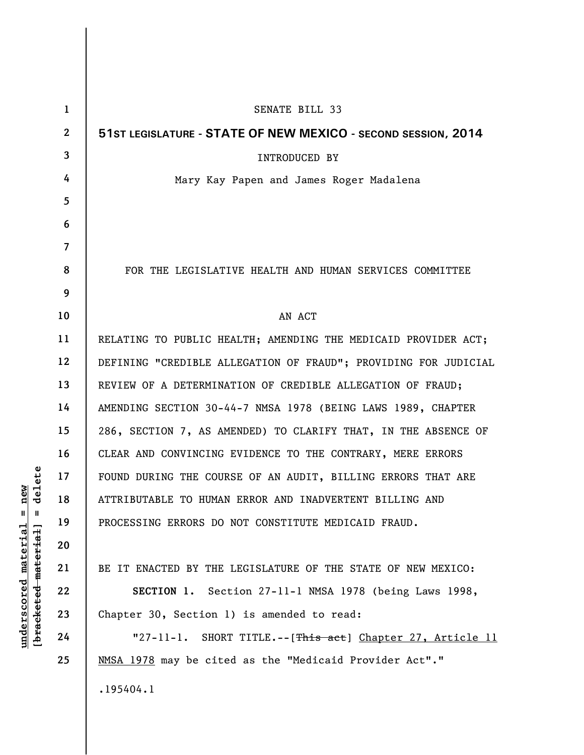| $\mathbf{1}$   | SENATE BILL 33                                                  |
|----------------|-----------------------------------------------------------------|
| $\mathbf{2}$   | 51ST LEGISLATURE - STATE OF NEW MEXICO - SECOND SESSION, 2014   |
| 3              | <b>INTRODUCED BY</b>                                            |
| 4              | Mary Kay Papen and James Roger Madalena                         |
| 5              |                                                                 |
| 6              |                                                                 |
| $\overline{7}$ |                                                                 |
| 8              | FOR THE LEGISLATIVE HEALTH AND HUMAN SERVICES COMMITTEE         |
| 9              |                                                                 |
| 10             | AN ACT                                                          |
| 11             | RELATING TO PUBLIC HEALTH; AMENDING THE MEDICAID PROVIDER ACT;  |
| 12             | DEFINING "CREDIBLE ALLEGATION OF FRAUD"; PROVIDING FOR JUDICIAL |
| 13             | REVIEW OF A DETERMINATION OF CREDIBLE ALLEGATION OF FRAUD;      |
| 14             | AMENDING SECTION 30-44-7 NMSA 1978 (BEING LAWS 1989, CHAPTER    |
| 15             | 286, SECTION 7, AS AMENDED) TO CLARIFY THAT, IN THE ABSENCE OF  |
| 16             | CLEAR AND CONVINCING EVIDENCE TO THE CONTRARY, MERE ERRORS      |
| 17             | FOUND DURING THE COURSE OF AN AUDIT, BILLING ERRORS THAT ARE    |
| 18             | ATTRIBUTABLE TO HUMAN ERROR AND INADVERTENT BILLING AND         |
| 19             | PROCESSING ERRORS DO NOT CONSTITUTE MEDICAID FRAUD.             |
| 20             |                                                                 |
| 21             | BE IT ENACTED BY THE LEGISLATURE OF THE STATE OF NEW MEXICO:    |
| 22             | SECTION 1. Section 27-11-1 NMSA 1978 (being Laws 1998,          |
| 23             | Chapter 30, Section 1) is amended to read:                      |
| 24             | "27-11-1. SHORT TITLE.--[This aet] Chapter 27, Article 11       |
| 25             | NMSA 1978 may be cited as the "Medicaid Provider Act"."         |
|                | .195404.1                                                       |

**underscored material = new [bracketed material] = delete**

 $[**bracket eted metert et**] = **del et e**$  $underscored material = new$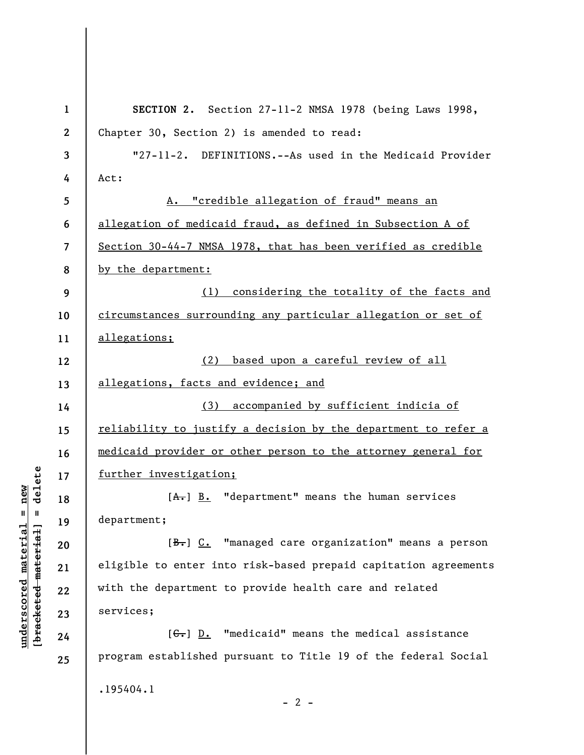| $\mathbf{1}$     | SECTION 2. Section 27-11-2 NMSA 1978 (being Laws 1998,               |
|------------------|----------------------------------------------------------------------|
| $\boldsymbol{2}$ | Chapter 30, Section 2) is amended to read:                           |
| 3                | "27-11-2. DEFINITIONS.--As used in the Medicaid Provider             |
| 4                | Act:                                                                 |
| 5                | A. "credible allegation of fraud" means an                           |
| 6                | allegation of medicaid fraud, as defined in Subsection A of          |
| 7                | Section 30-44-7 NMSA 1978, that has been verified as credible        |
| 8                | by the department:                                                   |
| 9                | (1) considering the totality of the facts and                        |
| 10               | circumstances surrounding any particular allegation or set of        |
| 11               | allegations;                                                         |
| 12               | (2) based upon a careful review of all                               |
| 13               | allegations, facts and evidence; and                                 |
| 14               | (3) accompanied by sufficient indicia of                             |
| 15               | reliability to justify a decision by the department to refer a       |
| 16               | medicaid provider or other person to the attorney general for        |
| 17               | further investigation;                                               |
| 18               | $[A1]$ B. "department" means the human services                      |
| 19               | department;                                                          |
| 20               | $[\frac{B}{\sqrt{b}}]$ C. "managed care organization" means a person |
| 21               | eligible to enter into risk-based prepaid capitation agreements      |
| 22               | with the department to provide health care and related               |
| 23               | services;                                                            |
| 24               | $[\theta_{\bullet}]$ D. "medicaid" means the medical assistance      |
| 25               | program established pursuant to Title 19 of the federal Social       |
|                  | .195404.1                                                            |
|                  | $-2-$                                                                |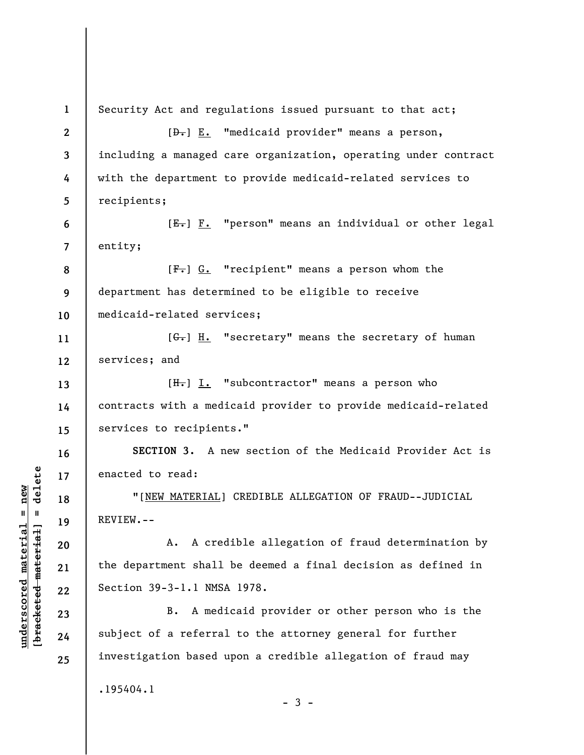| $\mathbf{1}$     | Security Act and regulations issued pursuant to that act;              |
|------------------|------------------------------------------------------------------------|
| $\boldsymbol{2}$ | [D.] E. "medicaid provider" means a person,                            |
| 3                | including a managed care organization, operating under contract        |
| 4                | with the department to provide medicaid-related services to            |
| 5                | recipients;                                                            |
| 6                | [E.] F. "person" means an individual or other legal                    |
| $\overline{7}$   | entity;                                                                |
| 8                | $[F-]$ $G.$ "recipient" means a person whom the                        |
| 9                | department has determined to be eligible to receive                    |
| 10               | medicaid-related services;                                             |
| 11               | $[\frac{1}{2}, \frac{1}{2}].$ "secretary" means the secretary of human |
| 12               | services; and                                                          |
| 13               | $[H_r] I.$ "subcontractor" means a person who                          |
| 14               | contracts with a medicaid provider to provide medicaid-related         |
| 15               | services to recipients."                                               |
| 16               | SECTION 3. A new section of the Medicaid Provider Act is               |
| 17               | enacted to read:                                                       |
| 18               | "[NEW MATERIAL] CREDIBLE ALLEGATION OF FRAUD--JUDICIAL                 |
| 19               | REVIEW.--                                                              |
| 20               | A. A credible allegation of fraud determination by                     |
| 21               | the department shall be deemed a final decision as defined in          |
| 22               | Section 39-3-1.1 NMSA 1978.                                            |
| 23               | A medicaid provider or other person who is the<br>B.                   |
| 24               | subject of a referral to the attorney general for further              |
| 25               | investigation based upon a credible allegation of fraud may            |
|                  | .195404.1<br>$-3 -$                                                    |

 $[**bracket eted metert et**] = **del et e**$ **[bracketed material] = delete**  $underscored material = new$ **underscored material = new**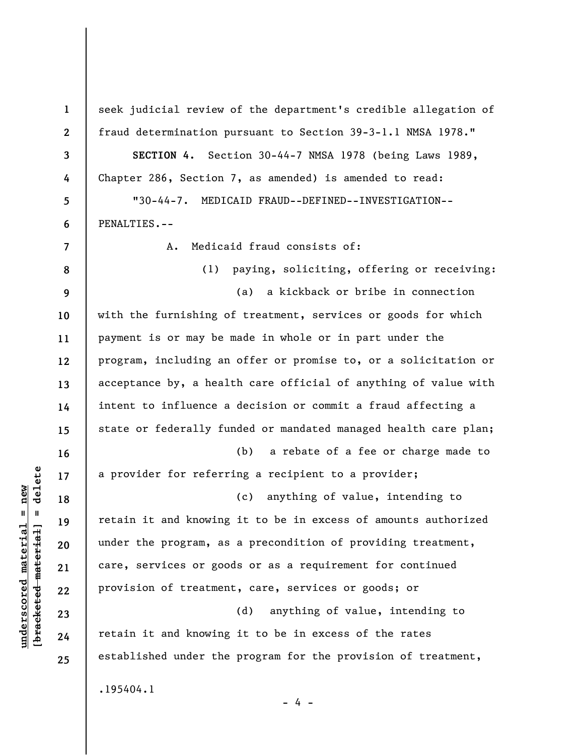**1 2 3 4 5 6 7 8 9 10 11 12 13 14 15 16 17 18 19 20 21 22 23 24 25**  seek judicial review of the department's credible allegation of fraud determination pursuant to Section 39-3-1.1 NMSA 1978." **SECTION 4.** Section 30-44-7 NMSA 1978 (being Laws 1989, Chapter 286, Section 7, as amended) is amended to read: "30-44-7. MEDICAID FRAUD--DEFINED--INVESTIGATION-- PENALTIES.-- A. Medicaid fraud consists of: (1) paying, soliciting, offering or receiving: (a) a kickback or bribe in connection with the furnishing of treatment, services or goods for which payment is or may be made in whole or in part under the program, including an offer or promise to, or a solicitation or acceptance by, a health care official of anything of value with intent to influence a decision or commit a fraud affecting a state or federally funded or mandated managed health care plan; (b) a rebate of a fee or charge made to a provider for referring a recipient to a provider; (c) anything of value, intending to retain it and knowing it to be in excess of amounts authorized under the program, as a precondition of providing treatment, care, services or goods or as a requirement for continued provision of treatment, care, services or goods; or (d) anything of value, intending to retain it and knowing it to be in excess of the rates established under the program for the provision of treatment, .195404.1 - 4 -

**underscored material = new [bracketed material] = delete**

 $\frac{1}{2}$  intereted material = delete  $underscored material = new$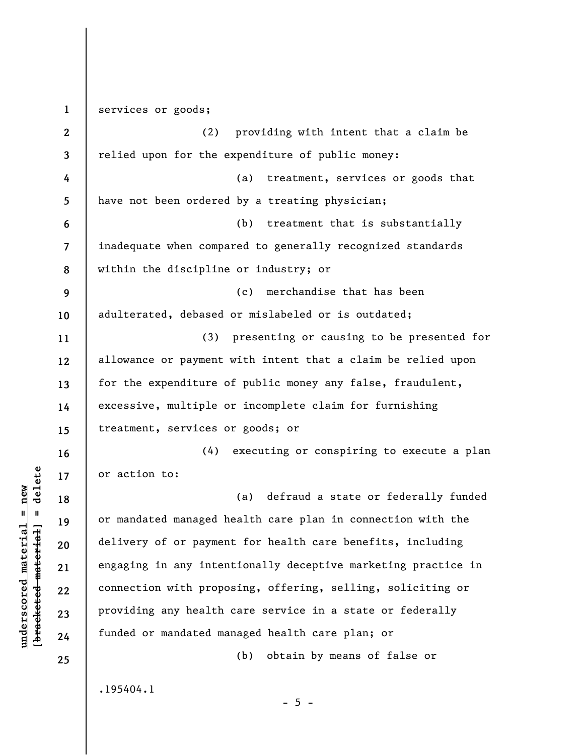**1 2 3 4 5 6 7 8 9 10 11 12 13 14 15 16 17 18 19 20 21 22 23 24 25**  services or goods; (2) providing with intent that a claim be relied upon for the expenditure of public money: (a) treatment, services or goods that have not been ordered by a treating physician; (b) treatment that is substantially inadequate when compared to generally recognized standards within the discipline or industry; or (c) merchandise that has been adulterated, debased or mislabeled or is outdated; (3) presenting or causing to be presented for allowance or payment with intent that a claim be relied upon for the expenditure of public money any false, fraudulent, excessive, multiple or incomplete claim for furnishing treatment, services or goods; or (4) executing or conspiring to execute a plan or action to: (a) defraud a state or federally funded or mandated managed health care plan in connection with the delivery of or payment for health care benefits, including engaging in any intentionally deceptive marketing practice in connection with proposing, offering, selling, soliciting or providing any health care service in a state or federally funded or mandated managed health care plan; or (b) obtain by means of false or .195404.1  $- 5 -$ 

**underscored material = new [bracketed material] = delete**

 $b$ racketed material] = delete  $underscored material = new$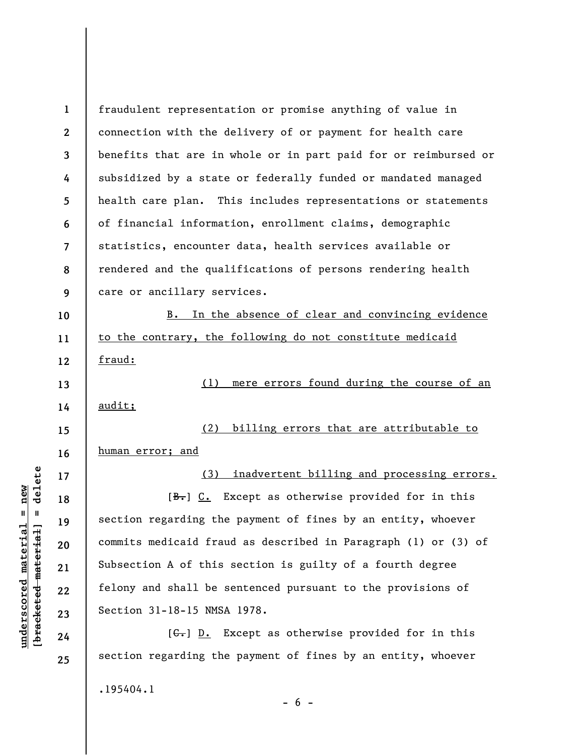**1 2 3 4 5 6 7 8 9 10 11 12 13 14 15 16 17 18 19 20 21 22 23 24 25**  fraudulent representation or promise anything of value in connection with the delivery of or payment for health care benefits that are in whole or in part paid for or reimbursed or subsidized by a state or federally funded or mandated managed health care plan. This includes representations or statements of financial information, enrollment claims, demographic statistics, encounter data, health services available or rendered and the qualifications of persons rendering health care or ancillary services. B. In the absence of clear and convincing evidence to the contrary, the following do not constitute medicaid fraud: (1) mere errors found during the course of an audit; (2) billing errors that are attributable to human error; and (3) inadvertent billing and processing errors.  $[\frac{B-}{\cdot}]\,C.$  Except as otherwise provided for in this section regarding the payment of fines by an entity, whoever commits medicaid fraud as described in Paragraph (1) or (3) of Subsection A of this section is guilty of a fourth degree felony and shall be sentenced pursuant to the provisions of Section 31-18-15 NMSA 1978.  $[G<sub>1</sub>]$   $D<sub>2</sub>$  Except as otherwise provided for in this section regarding the payment of fines by an entity, whoever .195404.1

**underscored material = new [bracketed material] = delete**

 $\frac{1}{2}$  intereted material = delete  $underscored material = new$ 

 $- 6 -$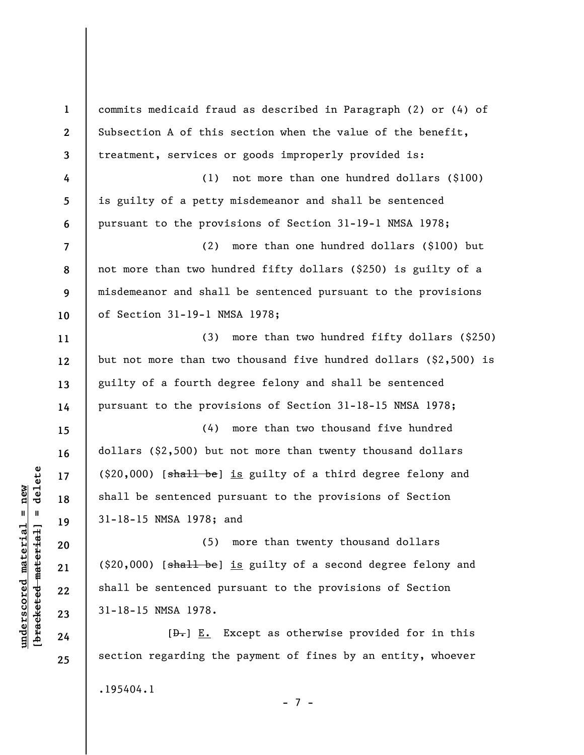| $\mathbf{1}$             | commits medicaid fraud as described in Paragraph (2) or (4) of   |
|--------------------------|------------------------------------------------------------------|
| $\mathbf{2}$             | Subsection A of this section when the value of the benefit,      |
| 3                        | treatment, services or goods improperly provided is:             |
| 4                        | not more than one hundred dollars (\$100)<br>(1)                 |
| 5                        | is guilty of a petty misdemeanor and shall be sentenced          |
| 6                        | pursuant to the provisions of Section 31-19-1 NMSA 1978;         |
| $\overline{\mathcal{L}}$ | more than one hundred dollars (\$100) but<br>(2)                 |
| 8                        | not more than two hundred fifty dollars (\$250) is guilty of a   |
| 9                        | misdemeanor and shall be sentenced pursuant to the provisions    |
| 10                       | of Section 31-19-1 NMSA 1978;                                    |
| 11                       | (3)<br>more than two hundred fifty dollars (\$250)               |
| 12                       | but not more than two thousand five hundred dollars (\$2,500) is |
| 13                       | guilty of a fourth degree felony and shall be sentenced          |
| 14                       | pursuant to the provisions of Section 31-18-15 NMSA 1978;        |
| 15                       | more than two thousand five hundred<br>(4)                       |
| 16                       | dollars (\$2,500) but not more than twenty thousand dollars      |
| 17                       | (\$20,000) [shall be] is guilty of a third degree felony and     |
| 18                       | shall be sentenced pursuant to the provisions of Section         |
| 19                       | 31-18-15 NMSA 1978; and                                          |
| 20                       | (5) more than twenty thousand dollars                            |
| 21                       | (\$20,000) [shall be] is guilty of a second degree felony and    |
| 22                       | shall be sentenced pursuant to the provisions of Section         |
| 23                       | 31-18-15 NMSA 1978.                                              |
| 24                       | $[\theta_{\tau}]$ E. Except as otherwise provided for in this    |
| 25                       | section regarding the payment of fines by an entity, whoever     |
|                          | .195404.1                                                        |
|                          |                                                                  |

## $[**bracket eted metert et**] = **del et e**$ **[bracketed material] = delete**  $underscored material = new$ **underscored material = new**

7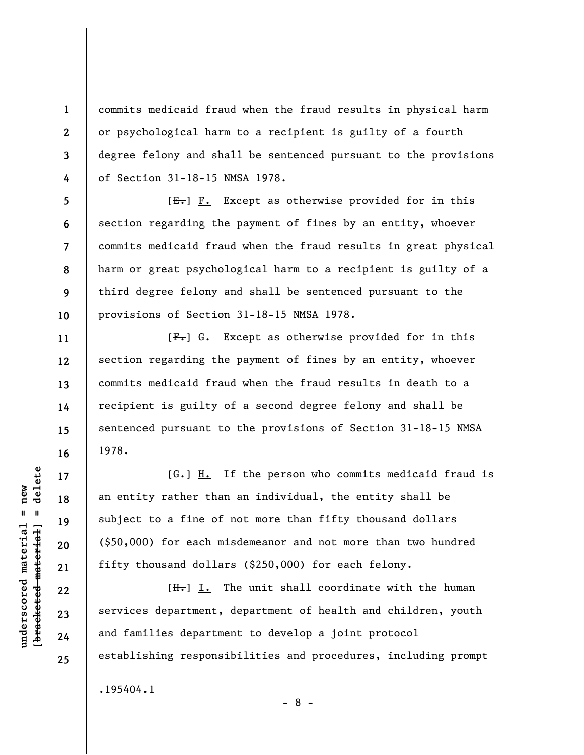commits medicaid fraud when the fraud results in physical harm or psychological harm to a recipient is guilty of a fourth degree felony and shall be sentenced pursuant to the provisions of Section 31-18-15 NMSA 1978.

 $[E-] F.$  Except as otherwise provided for in this section regarding the payment of fines by an entity, whoever commits medicaid fraud when the fraud results in great physical harm or great psychological harm to a recipient is guilty of a third degree felony and shall be sentenced pursuant to the provisions of Section 31-18-15 NMSA 1978.

 $[F-]$  G. Except as otherwise provided for in this section regarding the payment of fines by an entity, whoever commits medicaid fraud when the fraud results in death to a recipient is guilty of a second degree felony and shall be sentenced pursuant to the provisions of Section 31-18-15 NMSA 1978.

 $[G<sub>1</sub>]$  H. If the person who commits medicaid fraud is an entity rather than an individual, the entity shall be subject to a fine of not more than fifty thousand dollars (\$50,000) for each misdemeanor and not more than two hundred fifty thousand dollars (\$250,000) for each felony.

 $[H<sub>1</sub>]$  I. The unit shall coordinate with the human services department, department of health and children, youth and families department to develop a joint protocol establishing responsibilities and procedures, including prompt .195404.1

 $\frac{1}{2}$  intereted material = delete **[bracketed material] = delete**  $underscored$  material = new **underscored material = new**

**1** 

**2** 

**3** 

**4** 

**5** 

**6** 

**7** 

**8** 

**9** 

**10** 

**11** 

**12** 

**13** 

**14** 

**15** 

**16** 

**17** 

**18** 

**19** 

**20** 

**21** 

**22** 

**23** 

**24** 

**25** 

- 8 -